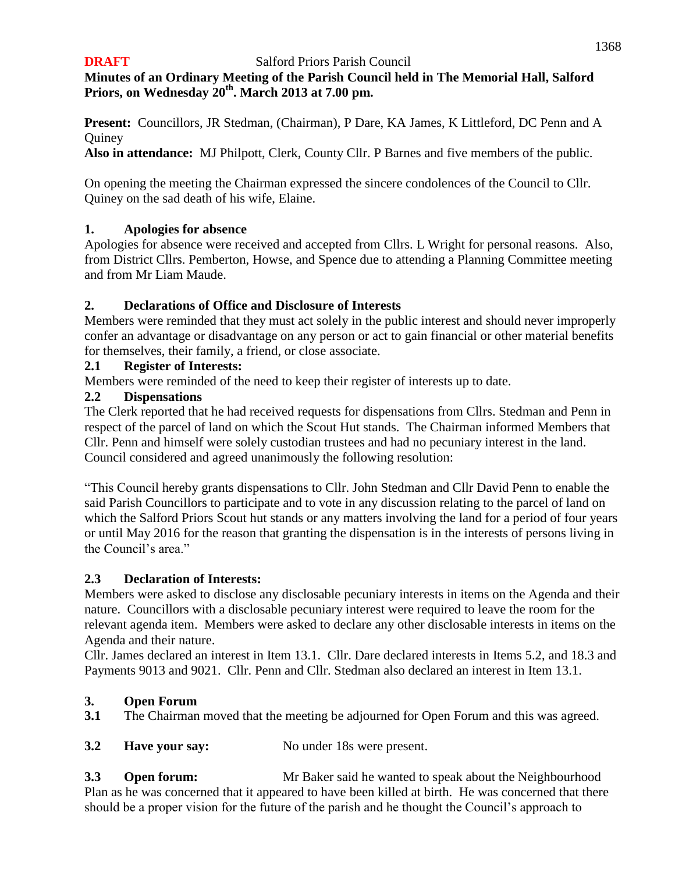# **Minutes of an Ordinary Meeting of the Parish Council held in The Memorial Hall, Salford Priors, on Wednesday 20th . March 2013 at 7.00 pm.**

**Present:** Councillors, JR Stedman, (Chairman), P Dare, KA James, K Littleford, DC Penn and A **Quiney** 

**Also in attendance:** MJ Philpott, Clerk, County Cllr. P Barnes and five members of the public.

On opening the meeting the Chairman expressed the sincere condolences of the Council to Cllr. Quiney on the sad death of his wife, Elaine.

## **1. Apologies for absence**

Apologies for absence were received and accepted from Cllrs. L Wright for personal reasons. Also, from District Cllrs. Pemberton, Howse, and Spence due to attending a Planning Committee meeting and from Mr Liam Maude.

## **2. Declarations of Office and Disclosure of Interests**

Members were reminded that they must act solely in the public interest and should never improperly confer an advantage or disadvantage on any person or act to gain financial or other material benefits for themselves, their family, a friend, or close associate.

## **2.1 Register of Interests:**

Members were reminded of the need to keep their register of interests up to date.

## **2.2 Dispensations**

The Clerk reported that he had received requests for dispensations from Cllrs. Stedman and Penn in respect of the parcel of land on which the Scout Hut stands. The Chairman informed Members that Cllr. Penn and himself were solely custodian trustees and had no pecuniary interest in the land. Council considered and agreed unanimously the following resolution:

"This Council hereby grants dispensations to Cllr. John Stedman and Cllr David Penn to enable the said Parish Councillors to participate and to vote in any discussion relating to the parcel of land on which the Salford Priors Scout hut stands or any matters involving the land for a period of four years or until May 2016 for the reason that granting the dispensation is in the interests of persons living in the Council's area."

## **2.3 Declaration of Interests:**

Members were asked to disclose any disclosable pecuniary interests in items on the Agenda and their nature. Councillors with a disclosable pecuniary interest were required to leave the room for the relevant agenda item. Members were asked to declare any other disclosable interests in items on the Agenda and their nature.

Cllr. James declared an interest in Item 13.1. Cllr. Dare declared interests in Items 5.2, and 18.3 and Payments 9013 and 9021. Cllr. Penn and Cllr. Stedman also declared an interest in Item 13.1.

# **3. Open Forum**

**3.1** The Chairman moved that the meeting be adjourned for Open Forum and this was agreed.

**3.2 Have your say:** No under 18s were present.

**3.3 Open forum:** Mr Baker said he wanted to speak about the Neighbourhood Plan as he was concerned that it appeared to have been killed at birth. He was concerned that there should be a proper vision for the future of the parish and he thought the Council's approach to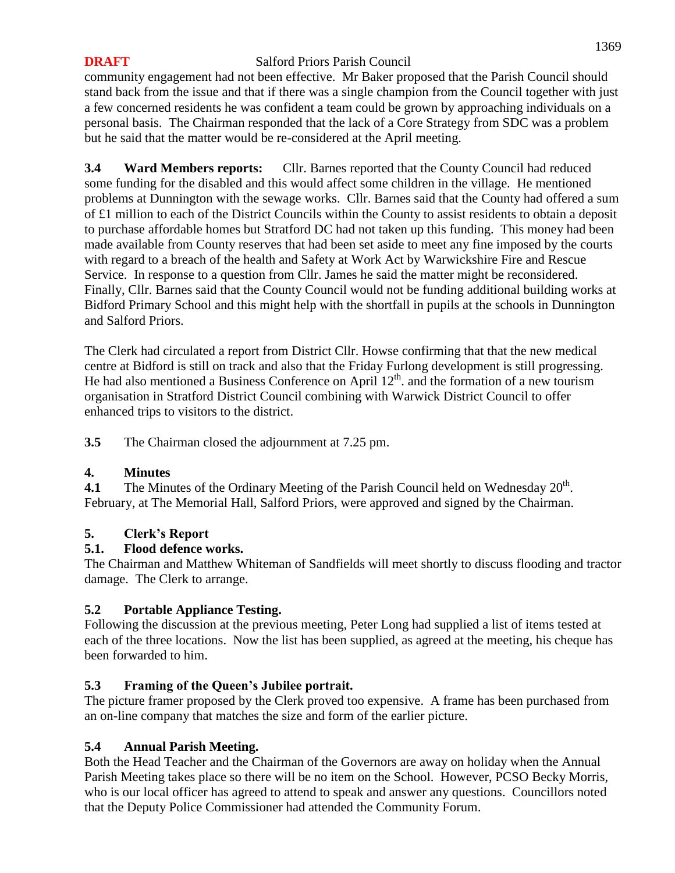community engagement had not been effective. Mr Baker proposed that the Parish Council should stand back from the issue and that if there was a single champion from the Council together with just a few concerned residents he was confident a team could be grown by approaching individuals on a personal basis. The Chairman responded that the lack of a Core Strategy from SDC was a problem but he said that the matter would be re-considered at the April meeting.

**3.4 Ward Members reports:** Cllr. Barnes reported that the County Council had reduced some funding for the disabled and this would affect some children in the village. He mentioned problems at Dunnington with the sewage works. Cllr. Barnes said that the County had offered a sum of £1 million to each of the District Councils within the County to assist residents to obtain a deposit to purchase affordable homes but Stratford DC had not taken up this funding. This money had been made available from County reserves that had been set aside to meet any fine imposed by the courts with regard to a breach of the health and Safety at Work Act by Warwickshire Fire and Rescue Service. In response to a question from Cllr. James he said the matter might be reconsidered. Finally, Cllr. Barnes said that the County Council would not be funding additional building works at Bidford Primary School and this might help with the shortfall in pupils at the schools in Dunnington and Salford Priors.

The Clerk had circulated a report from District Cllr. Howse confirming that that the new medical centre at Bidford is still on track and also that the Friday Furlong development is still progressing. He had also mentioned a Business Conference on April  $12<sup>th</sup>$  and the formation of a new tourism organisation in Stratford District Council combining with Warwick District Council to offer enhanced trips to visitors to the district.

**3.5** The Chairman closed the adjournment at 7.25 pm.

## **4. Minutes**

**4.1** The Minutes of the Ordinary Meeting of the Parish Council held on Wednesday  $20^{\text{th}}$ . February, at The Memorial Hall, Salford Priors, were approved and signed by the Chairman.

# **5. Clerk's Report**

# **5.1. Flood defence works.**

The Chairman and Matthew Whiteman of Sandfields will meet shortly to discuss flooding and tractor damage. The Clerk to arrange.

# **5.2 Portable Appliance Testing.**

Following the discussion at the previous meeting, Peter Long had supplied a list of items tested at each of the three locations. Now the list has been supplied, as agreed at the meeting, his cheque has been forwarded to him.

# **5.3 Framing of the Queen's Jubilee portrait.**

The picture framer proposed by the Clerk proved too expensive. A frame has been purchased from an on-line company that matches the size and form of the earlier picture.

## **5.4 Annual Parish Meeting.**

Both the Head Teacher and the Chairman of the Governors are away on holiday when the Annual Parish Meeting takes place so there will be no item on the School. However, PCSO Becky Morris, who is our local officer has agreed to attend to speak and answer any questions. Councillors noted that the Deputy Police Commissioner had attended the Community Forum.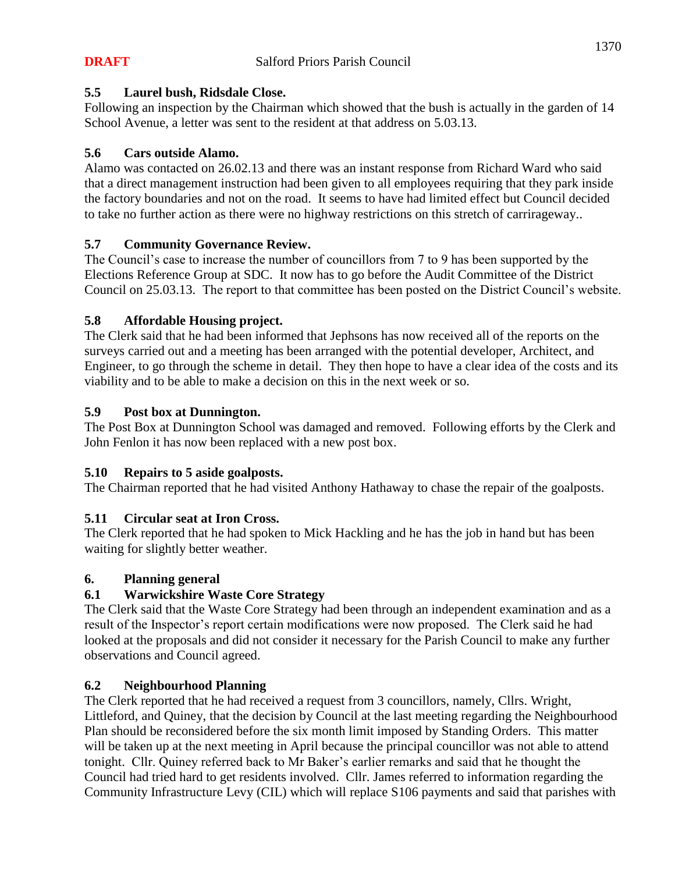## **5.5 Laurel bush, Ridsdale Close.**

Following an inspection by the Chairman which showed that the bush is actually in the garden of 14 School Avenue, a letter was sent to the resident at that address on 5.03.13.

## **5.6 Cars outside Alamo.**

Alamo was contacted on 26.02.13 and there was an instant response from Richard Ward who said that a direct management instruction had been given to all employees requiring that they park inside the factory boundaries and not on the road. It seems to have had limited effect but Council decided to take no further action as there were no highway restrictions on this stretch of carrirageway..

## **5.7 Community Governance Review.**

The Council's case to increase the number of councillors from 7 to 9 has been supported by the Elections Reference Group at SDC. It now has to go before the Audit Committee of the District Council on 25.03.13. The report to that committee has been posted on the District Council's website.

## **5.8 Affordable Housing project.**

The Clerk said that he had been informed that Jephsons has now received all of the reports on the surveys carried out and a meeting has been arranged with the potential developer, Architect, and Engineer, to go through the scheme in detail. They then hope to have a clear idea of the costs and its viability and to be able to make a decision on this in the next week or so.

## **5.9 Post box at Dunnington.**

The Post Box at Dunnington School was damaged and removed. Following efforts by the Clerk and John Fenlon it has now been replaced with a new post box.

## **5.10 Repairs to 5 aside goalposts.**

The Chairman reported that he had visited Anthony Hathaway to chase the repair of the goalposts.

# **5.11 Circular seat at Iron Cross.**

The Clerk reported that he had spoken to Mick Hackling and he has the job in hand but has been waiting for slightly better weather.

## **6. Planning general**

## **6.1 Warwickshire Waste Core Strategy**

The Clerk said that the Waste Core Strategy had been through an independent examination and as a result of the Inspector's report certain modifications were now proposed. The Clerk said he had looked at the proposals and did not consider it necessary for the Parish Council to make any further observations and Council agreed.

## **6.2 Neighbourhood Planning**

The Clerk reported that he had received a request from 3 councillors, namely, Cllrs. Wright, Littleford, and Quiney, that the decision by Council at the last meeting regarding the Neighbourhood Plan should be reconsidered before the six month limit imposed by Standing Orders. This matter will be taken up at the next meeting in April because the principal councillor was not able to attend tonight. Cllr. Quiney referred back to Mr Baker's earlier remarks and said that he thought the Council had tried hard to get residents involved. Cllr. James referred to information regarding the Community Infrastructure Levy (CIL) which will replace S106 payments and said that parishes with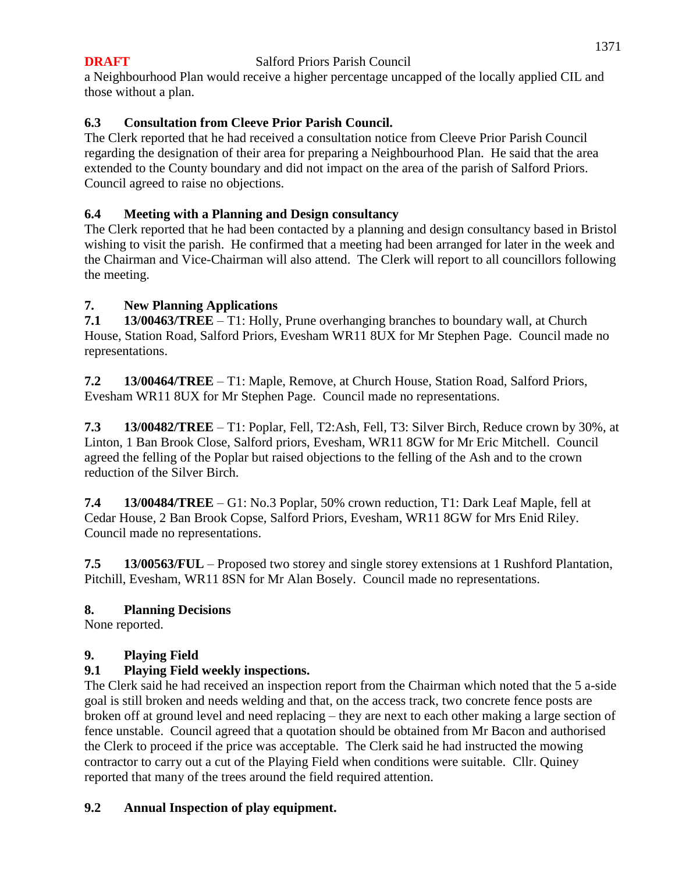## 1371

#### **DRAFT** Salford Priors Parish Council

a Neighbourhood Plan would receive a higher percentage uncapped of the locally applied CIL and those without a plan.

# **6.3 Consultation from Cleeve Prior Parish Council.**

The Clerk reported that he had received a consultation notice from Cleeve Prior Parish Council regarding the designation of their area for preparing a Neighbourhood Plan. He said that the area extended to the County boundary and did not impact on the area of the parish of Salford Priors. Council agreed to raise no objections.

## **6.4 Meeting with a Planning and Design consultancy**

The Clerk reported that he had been contacted by a planning and design consultancy based in Bristol wishing to visit the parish. He confirmed that a meeting had been arranged for later in the week and the Chairman and Vice-Chairman will also attend. The Clerk will report to all councillors following the meeting.

## **7. New Planning Applications**

**7.1 13/00463/TREE** – T1: Holly, Prune overhanging branches to boundary wall, at Church House, Station Road, Salford Priors, Evesham WR11 8UX for Mr Stephen Page. Council made no representations.

**7.2 13/00464/TREE** – T1: Maple, Remove, at Church House, Station Road, Salford Priors, Evesham WR11 8UX for Mr Stephen Page. Council made no representations.

**7.3 13/00482/TREE** – T1: Poplar, Fell, T2:Ash, Fell, T3: Silver Birch, Reduce crown by 30%, at Linton, 1 Ban Brook Close, Salford priors, Evesham, WR11 8GW for Mr Eric Mitchell. Council agreed the felling of the Poplar but raised objections to the felling of the Ash and to the crown reduction of the Silver Birch.

**7.4 13/00484/TREE** – G1: No.3 Poplar, 50% crown reduction, T1: Dark Leaf Maple, fell at Cedar House, 2 Ban Brook Copse, Salford Priors, Evesham, WR11 8GW for Mrs Enid Riley. Council made no representations.

**7.5 13/00563/FUL** – Proposed two storey and single storey extensions at 1 Rushford Plantation, Pitchill, Evesham, WR11 8SN for Mr Alan Bosely. Council made no representations.

## **8. Planning Decisions**

None reported.

# **9. Playing Field**

# **9.1 Playing Field weekly inspections.**

The Clerk said he had received an inspection report from the Chairman which noted that the 5 a-side goal is still broken and needs welding and that, on the access track, two concrete fence posts are broken off at ground level and need replacing – they are next to each other making a large section of fence unstable. Council agreed that a quotation should be obtained from Mr Bacon and authorised the Clerk to proceed if the price was acceptable. The Clerk said he had instructed the mowing contractor to carry out a cut of the Playing Field when conditions were suitable. Cllr. Quiney reported that many of the trees around the field required attention.

## **9.2 Annual Inspection of play equipment.**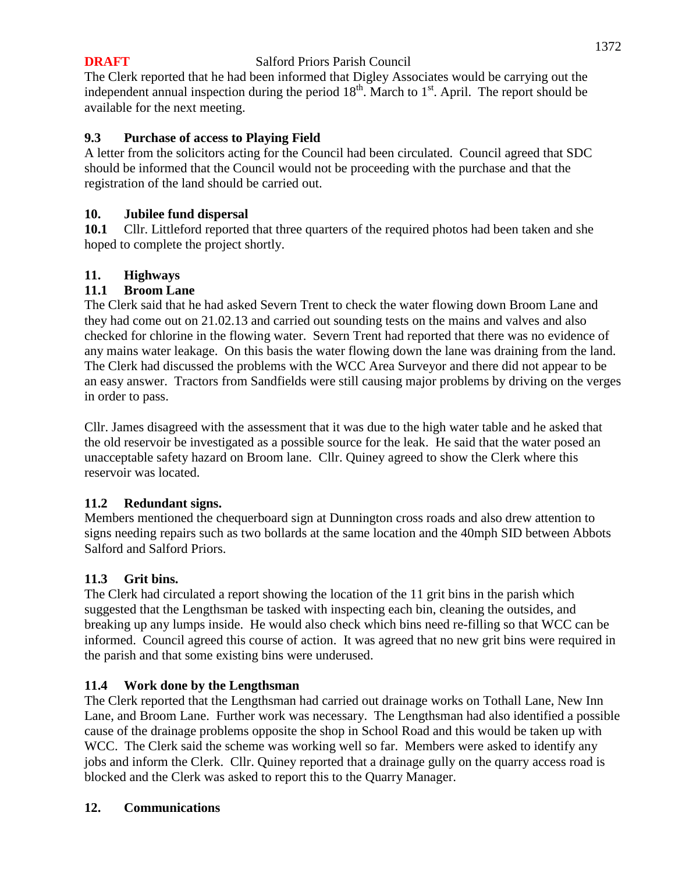The Clerk reported that he had been informed that Digley Associates would be carrying out the independent annual inspection during the period  $18^{th}$ . March to  $1<sup>st</sup>$ . April. The report should be available for the next meeting.

## **9.3 Purchase of access to Playing Field**

A letter from the solicitors acting for the Council had been circulated. Council agreed that SDC should be informed that the Council would not be proceeding with the purchase and that the registration of the land should be carried out.

## **10. Jubilee fund dispersal**

**10.1** Cllr. Littleford reported that three quarters of the required photos had been taken and she hoped to complete the project shortly.

## **11. Highways**

## **11.1 Broom Lane**

The Clerk said that he had asked Severn Trent to check the water flowing down Broom Lane and they had come out on 21.02.13 and carried out sounding tests on the mains and valves and also checked for chlorine in the flowing water. Severn Trent had reported that there was no evidence of any mains water leakage. On this basis the water flowing down the lane was draining from the land. The Clerk had discussed the problems with the WCC Area Surveyor and there did not appear to be an easy answer. Tractors from Sandfields were still causing major problems by driving on the verges in order to pass.

Cllr. James disagreed with the assessment that it was due to the high water table and he asked that the old reservoir be investigated as a possible source for the leak. He said that the water posed an unacceptable safety hazard on Broom lane. Cllr. Quiney agreed to show the Clerk where this reservoir was located.

## **11.2 Redundant signs.**

Members mentioned the chequerboard sign at Dunnington cross roads and also drew attention to signs needing repairs such as two bollards at the same location and the 40mph SID between Abbots Salford and Salford Priors.

## **11.3 Grit bins.**

The Clerk had circulated a report showing the location of the 11 grit bins in the parish which suggested that the Lengthsman be tasked with inspecting each bin, cleaning the outsides, and breaking up any lumps inside. He would also check which bins need re-filling so that WCC can be informed. Council agreed this course of action. It was agreed that no new grit bins were required in the parish and that some existing bins were underused.

# **11.4 Work done by the Lengthsman**

The Clerk reported that the Lengthsman had carried out drainage works on Tothall Lane, New Inn Lane, and Broom Lane. Further work was necessary. The Lengthsman had also identified a possible cause of the drainage problems opposite the shop in School Road and this would be taken up with WCC. The Clerk said the scheme was working well so far. Members were asked to identify any jobs and inform the Clerk. Cllr. Quiney reported that a drainage gully on the quarry access road is blocked and the Clerk was asked to report this to the Quarry Manager.

## **12. Communications**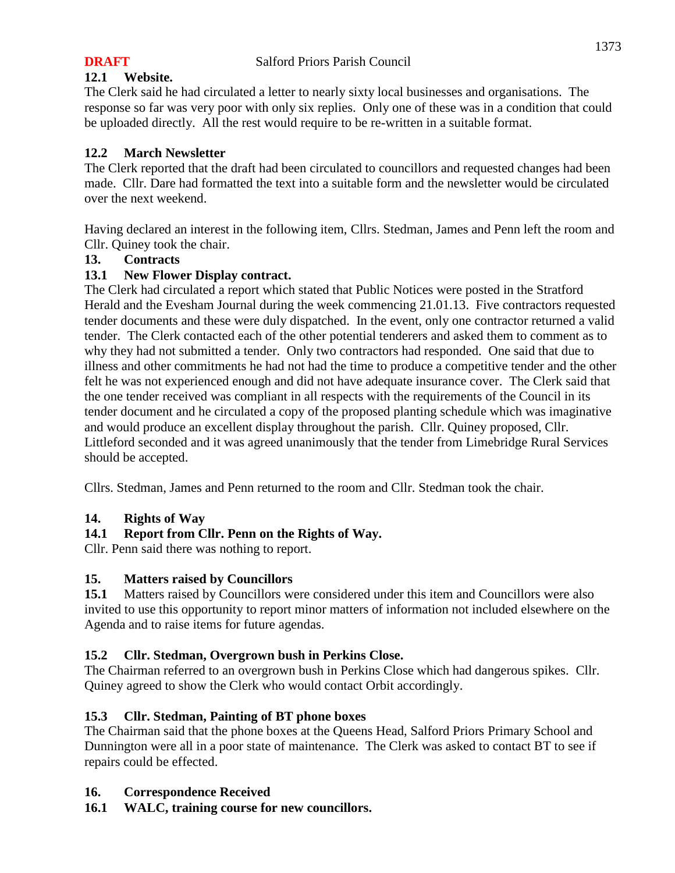## **12.1 Website.**

The Clerk said he had circulated a letter to nearly sixty local businesses and organisations. The response so far was very poor with only six replies. Only one of these was in a condition that could be uploaded directly. All the rest would require to be re-written in a suitable format.

## **12.2 March Newsletter**

The Clerk reported that the draft had been circulated to councillors and requested changes had been made. Cllr. Dare had formatted the text into a suitable form and the newsletter would be circulated over the next weekend.

Having declared an interest in the following item, Cllrs. Stedman, James and Penn left the room and Cllr. Quiney took the chair.

## **13. Contracts**

## **13.1 New Flower Display contract.**

The Clerk had circulated a report which stated that Public Notices were posted in the Stratford Herald and the Evesham Journal during the week commencing 21.01.13. Five contractors requested tender documents and these were duly dispatched. In the event, only one contractor returned a valid tender. The Clerk contacted each of the other potential tenderers and asked them to comment as to why they had not submitted a tender. Only two contractors had responded. One said that due to illness and other commitments he had not had the time to produce a competitive tender and the other felt he was not experienced enough and did not have adequate insurance cover. The Clerk said that the one tender received was compliant in all respects with the requirements of the Council in its tender document and he circulated a copy of the proposed planting schedule which was imaginative and would produce an excellent display throughout the parish. Cllr. Quiney proposed, Cllr. Littleford seconded and it was agreed unanimously that the tender from Limebridge Rural Services should be accepted.

Cllrs. Stedman, James and Penn returned to the room and Cllr. Stedman took the chair.

## **14. Rights of Way**

# **14.1 Report from Cllr. Penn on the Rights of Way.**

Cllr. Penn said there was nothing to report.

## **15. Matters raised by Councillors**

**15.1** Matters raised by Councillors were considered under this item and Councillors were also invited to use this opportunity to report minor matters of information not included elsewhere on the Agenda and to raise items for future agendas.

## **15.2 Cllr. Stedman, Overgrown bush in Perkins Close.**

The Chairman referred to an overgrown bush in Perkins Close which had dangerous spikes. Cllr. Quiney agreed to show the Clerk who would contact Orbit accordingly.

# **15.3 Cllr. Stedman, Painting of BT phone boxes**

The Chairman said that the phone boxes at the Queens Head, Salford Priors Primary School and Dunnington were all in a poor state of maintenance. The Clerk was asked to contact BT to see if repairs could be effected.

## **16. Correspondence Received**

**16.1 WALC, training course for new councillors.**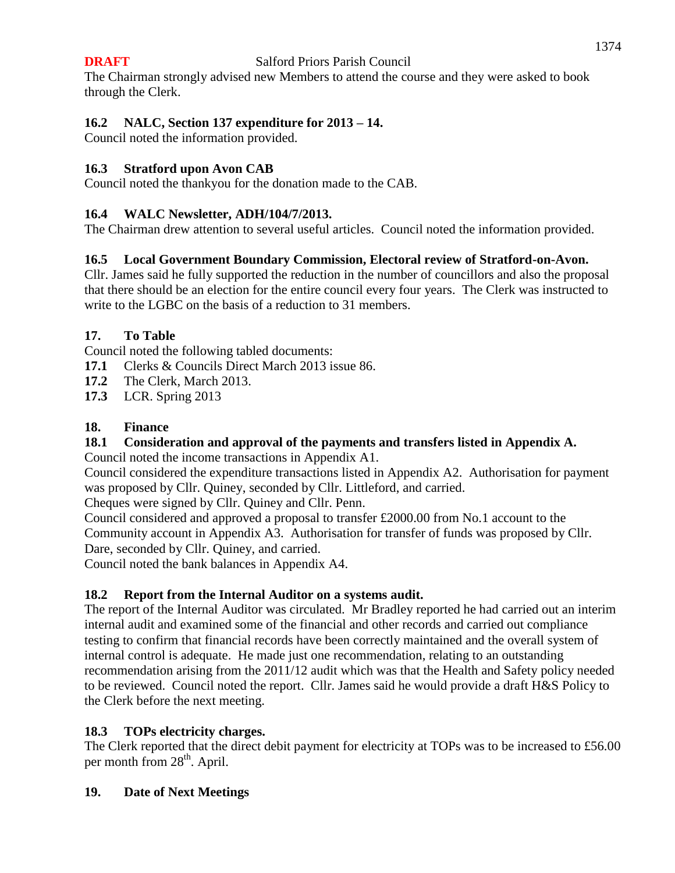The Chairman strongly advised new Members to attend the course and they were asked to book through the Clerk.

# **16.2 NALC, Section 137 expenditure for 2013 – 14.**

Council noted the information provided.

# **16.3 Stratford upon Avon CAB**

Council noted the thankyou for the donation made to the CAB.

## **16.4 WALC Newsletter, ADH/104/7/2013.**

The Chairman drew attention to several useful articles. Council noted the information provided.

## **16.5 Local Government Boundary Commission, Electoral review of Stratford-on-Avon.**

Cllr. James said he fully supported the reduction in the number of councillors and also the proposal that there should be an election for the entire council every four years. The Clerk was instructed to write to the LGBC on the basis of a reduction to 31 members.

## **17. To Table**

Council noted the following tabled documents:

- **17.1** Clerks & Councils Direct March 2013 issue 86.
- **17.2** The Clerk, March 2013.
- **17.3** LCR. Spring 2013

## **18. Finance**

# **18.1 Consideration and approval of the payments and transfers listed in Appendix A.**

Council noted the income transactions in Appendix A1.

Council considered the expenditure transactions listed in Appendix A2. Authorisation for payment was proposed by Cllr. Quiney, seconded by Cllr. Littleford, and carried.

Cheques were signed by Cllr. Quiney and Cllr. Penn.

Council considered and approved a proposal to transfer £2000.00 from No.1 account to the Community account in Appendix A3. Authorisation for transfer of funds was proposed by Cllr. Dare, seconded by Cllr. Quiney, and carried.

Council noted the bank balances in Appendix A4.

# **18.2 Report from the Internal Auditor on a systems audit.**

The report of the Internal Auditor was circulated. Mr Bradley reported he had carried out an interim internal audit and examined some of the financial and other records and carried out compliance testing to confirm that financial records have been correctly maintained and the overall system of internal control is adequate. He made just one recommendation, relating to an outstanding recommendation arising from the 2011/12 audit which was that the Health and Safety policy needed to be reviewed. Council noted the report. Cllr. James said he would provide a draft H&S Policy to the Clerk before the next meeting.

# **18.3 TOPs electricity charges.**

The Clerk reported that the direct debit payment for electricity at TOPs was to be increased to £56.00 per month from 28<sup>th</sup>. April.

## **19. Date of Next Meetings**